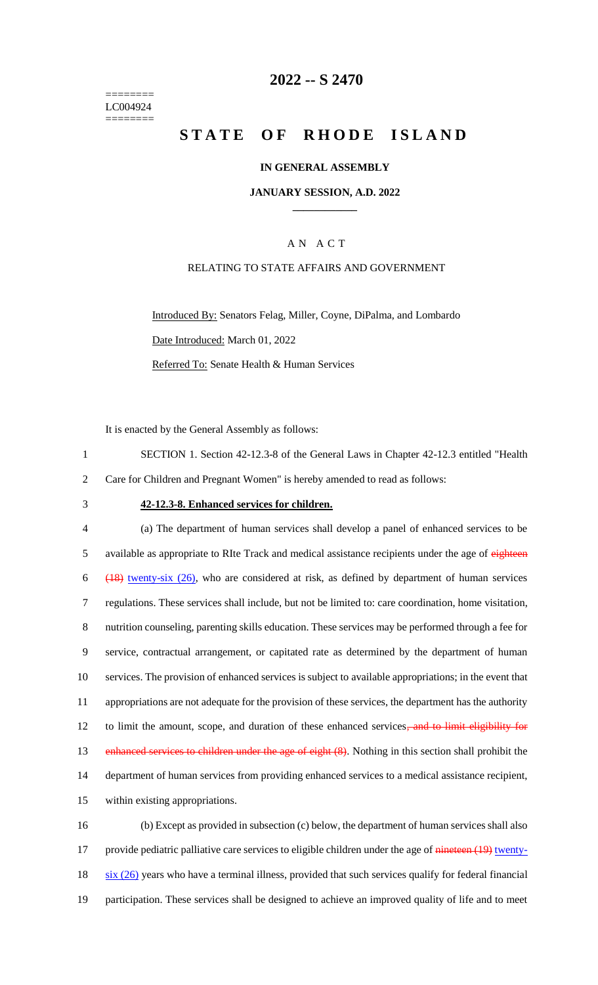======== LC004924 ========

## **2022 -- S 2470**

# **STATE OF RHODE ISLAND**

### **IN GENERAL ASSEMBLY**

#### **JANUARY SESSION, A.D. 2022 \_\_\_\_\_\_\_\_\_\_\_\_**

## A N A C T

### RELATING TO STATE AFFAIRS AND GOVERNMENT

Introduced By: Senators Felag, Miller, Coyne, DiPalma, and Lombardo Date Introduced: March 01, 2022 Referred To: Senate Health & Human Services

It is enacted by the General Assembly as follows:

1 SECTION 1. Section 42-12.3-8 of the General Laws in Chapter 42-12.3 entitled "Health 2 Care for Children and Pregnant Women" is hereby amended to read as follows:

#### 3 **42-12.3-8. Enhanced services for children.**

 (a) The department of human services shall develop a panel of enhanced services to be 5 available as appropriate to RIte Track and medical assistance recipients under the age of eighteen (18) twenty-six (26), who are considered at risk, as defined by department of human services regulations. These services shall include, but not be limited to: care coordination, home visitation, nutrition counseling, parenting skills education. These services may be performed through a fee for service, contractual arrangement, or capitated rate as determined by the department of human services. The provision of enhanced services is subject to available appropriations; in the event that appropriations are not adequate for the provision of these services, the department has the authority 12 to limit the amount, scope, and duration of these enhanced services, and to limit eligibility for 13 enhanced services to children under the age of eight (8). Nothing in this section shall prohibit the department of human services from providing enhanced services to a medical assistance recipient, within existing appropriations. (b) Except as provided in subsection (c) below, the department of human services shall also

17 provide pediatric palliative care services to eligible children under the age of nineteen (19) twenty- $18$  six (26) years who have a terminal illness, provided that such services qualify for federal financial 19 participation. These services shall be designed to achieve an improved quality of life and to meet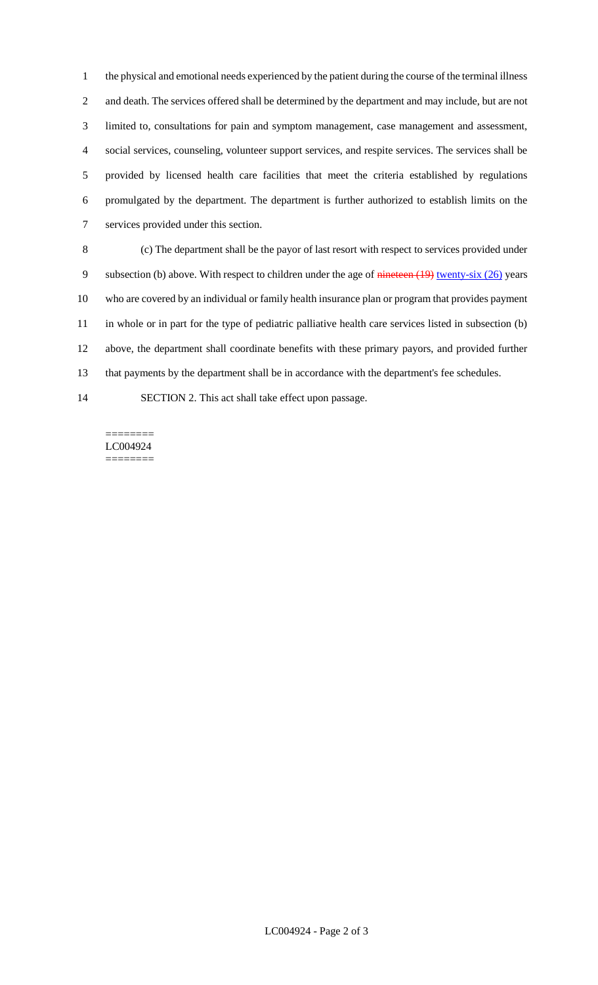the physical and emotional needs experienced by the patient during the course of the terminal illness and death. The services offered shall be determined by the department and may include, but are not limited to, consultations for pain and symptom management, case management and assessment, social services, counseling, volunteer support services, and respite services. The services shall be provided by licensed health care facilities that meet the criteria established by regulations promulgated by the department. The department is further authorized to establish limits on the services provided under this section.

 (c) The department shall be the payor of last resort with respect to services provided under 9 subsection (b) above. With respect to children under the age of nineteen (19) twenty-six (26) years who are covered by an individual or family health insurance plan or program that provides payment in whole or in part for the type of pediatric palliative health care services listed in subsection (b) above, the department shall coordinate benefits with these primary payors, and provided further that payments by the department shall be in accordance with the department's fee schedules.

SECTION 2. This act shall take effect upon passage.

======== LC004924 ========